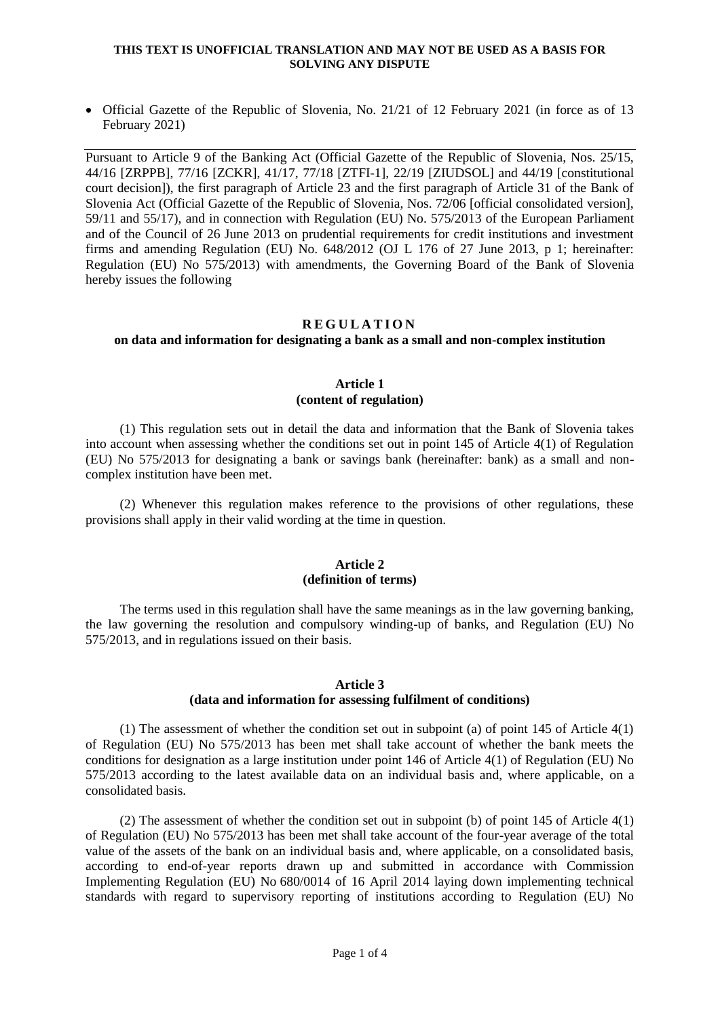• Official Gazette of the Republic of Slovenia, No. 21/21 of 12 February 2021 (in force as of 13 February 2021)

Pursuant to Article 9 of the Banking Act (Official Gazette of the Republic of Slovenia, Nos. 25/15, 44/16 [ZRPPB], 77/16 [ZCKR], 41/17, 77/18 [ZTFI-1], [22/19](http://www.uradni-list.si/1/objava.jsp?sop=2019-01-0916) [ZIUDSOL] and [44/19](http://www.uradni-list.si/1/objava.jsp?sop=2019-01-2011) [constitutional court decision]), the first paragraph of Article 23 and the first paragraph of Article 31 of the Bank of Slovenia Act (Official Gazette of the Republic of Slovenia, Nos. 72/06 [official consolidated version], 59/11 and 55/17), and in connection with Regulation (EU) No. 575/2013 of the European Parliament and of the Council of 26 June 2013 on prudential requirements for credit institutions and investment firms and amending Regulation (EU) No. 648/2012 (OJ L 176 of 27 June 2013, p 1; hereinafter: Regulation (EU) No 575/2013) with amendments, the Governing Board of the Bank of Slovenia hereby issues the following

# **R E G U L A T I O N**

# **on data and information for designating a bank as a small and non-complex institution**

### **Article 1 (content of regulation)**

(1) This regulation sets out in detail the data and information that the Bank of Slovenia takes into account when assessing whether the conditions set out in point 145 of Article 4(1) of Regulation (EU) No 575/2013 for designating a bank or savings bank (hereinafter: bank) as a small and noncomplex institution have been met.

(2) Whenever this regulation makes reference to the provisions of other regulations, these provisions shall apply in their valid wording at the time in question.

### **Article 2 (definition of terms)**

The terms used in this regulation shall have the same meanings as in the law governing banking, the law governing the resolution and compulsory winding-up of banks, and Regulation (EU) No 575/2013, and in regulations issued on their basis.

# **Article 3**

# **(data and information for assessing fulfilment of conditions)**

(1) The assessment of whether the condition set out in subpoint (a) of point 145 of Article 4(1) of Regulation (EU) No 575/2013 has been met shall take account of whether the bank meets the conditions for designation as a large institution under point 146 of Article 4(1) of Regulation (EU) No 575/2013 according to the latest available data on an individual basis and, where applicable, on a consolidated basis.

(2) The assessment of whether the condition set out in subpoint (b) of point 145 of Article 4(1) of Regulation (EU) No 575/2013 has been met shall take account of the four-year average of the total value of the assets of the bank on an individual basis and, where applicable, on a consolidated basis, according to end-of-year reports drawn up and submitted in accordance with Commission Implementing Regulation (EU) No 680/0014 of 16 April 2014 laying down implementing technical standards with regard to supervisory reporting of institutions according to Regulation (EU) No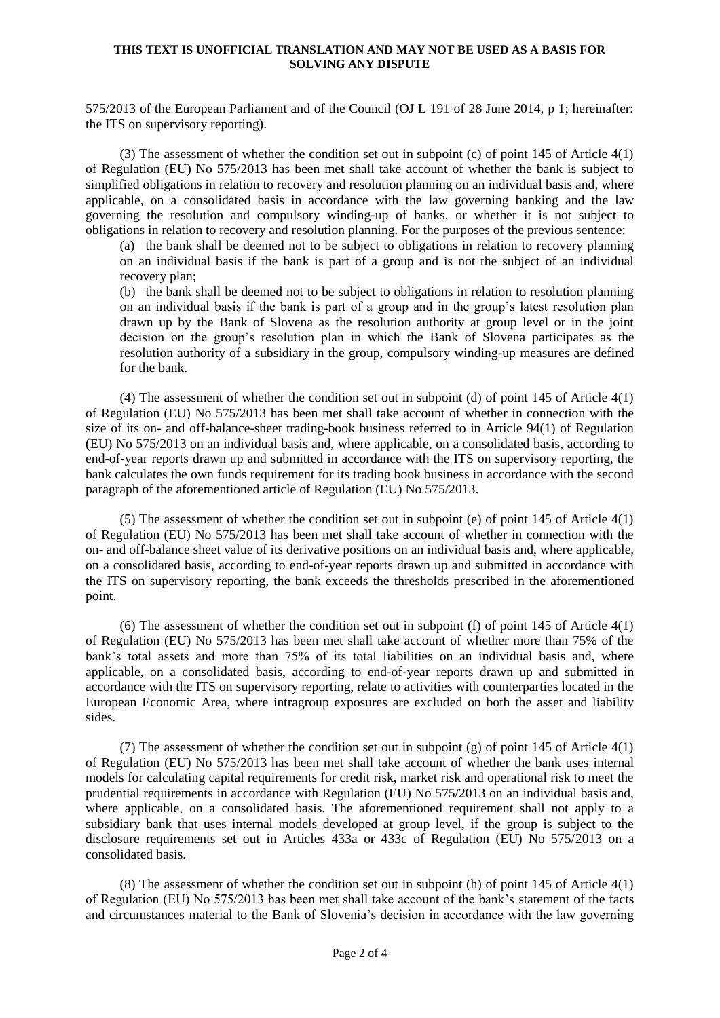575/2013 of the European Parliament and of the Council (OJ L 191 of 28 June 2014, p 1; hereinafter: the ITS on supervisory reporting).

(3) The assessment of whether the condition set out in subpoint (c) of point 145 of Article 4(1) of Regulation (EU) No 575/2013 has been met shall take account of whether the bank is subject to simplified obligations in relation to recovery and resolution planning on an individual basis and, where applicable, on a consolidated basis in accordance with the law governing banking and the law governing the resolution and compulsory winding-up of banks, or whether it is not subject to obligations in relation to recovery and resolution planning. For the purposes of the previous sentence:

(a) the bank shall be deemed not to be subject to obligations in relation to recovery planning on an individual basis if the bank is part of a group and is not the subject of an individual recovery plan;

(b) the bank shall be deemed not to be subject to obligations in relation to resolution planning on an individual basis if the bank is part of a group and in the group's latest resolution plan drawn up by the Bank of Slovena as the resolution authority at group level or in the joint decision on the group's resolution plan in which the Bank of Slovena participates as the resolution authority of a subsidiary in the group, compulsory winding-up measures are defined for the bank.

(4) The assessment of whether the condition set out in subpoint (d) of point 145 of Article 4(1) of Regulation (EU) No 575/2013 has been met shall take account of whether in connection with the size of its on- and off-balance-sheet trading-book business referred to in Article 94(1) of Regulation (EU) No 575/2013 on an individual basis and, where applicable, on a consolidated basis, according to end-of-year reports drawn up and submitted in accordance with the ITS on supervisory reporting, the bank calculates the own funds requirement for its trading book business in accordance with the second paragraph of the aforementioned article of Regulation (EU) No 575/2013.

(5) The assessment of whether the condition set out in subpoint (e) of point 145 of Article 4(1) of Regulation (EU) No 575/2013 has been met shall take account of whether in connection with the on- and off-balance sheet value of its derivative positions on an individual basis and, where applicable, on a consolidated basis, according to end-of-year reports drawn up and submitted in accordance with the ITS on supervisory reporting, the bank exceeds the thresholds prescribed in the aforementioned point.

(6) The assessment of whether the condition set out in subpoint (f) of point 145 of Article 4(1) of Regulation (EU) No 575/2013 has been met shall take account of whether more than 75% of the bank's total assets and more than 75% of its total liabilities on an individual basis and, where applicable, on a consolidated basis, according to end-of-year reports drawn up and submitted in accordance with the ITS on supervisory reporting, relate to activities with counterparties located in the European Economic Area, where intragroup exposures are excluded on both the asset and liability sides.

(7) The assessment of whether the condition set out in subpoint (g) of point 145 of Article 4(1) of Regulation (EU) No 575/2013 has been met shall take account of whether the bank uses internal models for calculating capital requirements for credit risk, market risk and operational risk to meet the prudential requirements in accordance with Regulation (EU) No 575/2013 on an individual basis and, where applicable, on a consolidated basis. The aforementioned requirement shall not apply to a subsidiary bank that uses internal models developed at group level, if the group is subject to the disclosure requirements set out in Articles 433a or 433c of Regulation (EU) No 575/2013 on a consolidated basis.

(8) The assessment of whether the condition set out in subpoint (h) of point 145 of Article 4(1) of Regulation (EU) No 575/2013 has been met shall take account of the bank's statement of the facts and circumstances material to the Bank of Slovenia's decision in accordance with the law governing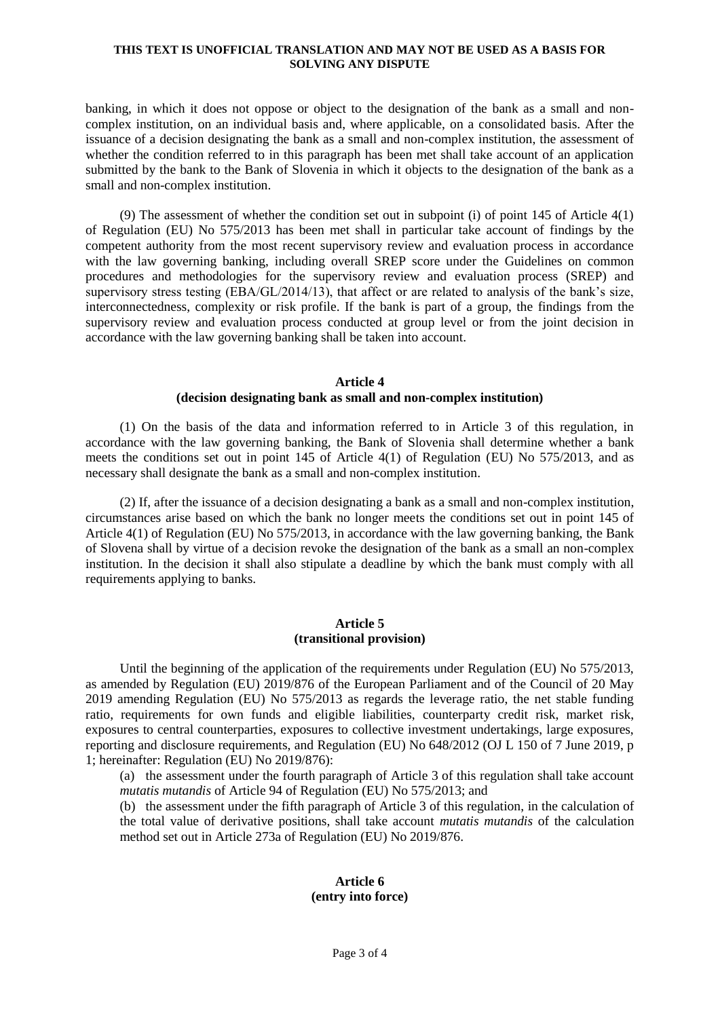banking, in which it does not oppose or object to the designation of the bank as a small and noncomplex institution, on an individual basis and, where applicable, on a consolidated basis. After the issuance of a decision designating the bank as a small and non-complex institution, the assessment of whether the condition referred to in this paragraph has been met shall take account of an application submitted by the bank to the Bank of Slovenia in which it objects to the designation of the bank as a small and non-complex institution.

(9) The assessment of whether the condition set out in subpoint (i) of point 145 of Article 4(1) of Regulation (EU) No 575/2013 has been met shall in particular take account of findings by the competent authority from the most recent supervisory review and evaluation process in accordance with the law governing banking, including overall SREP score under the Guidelines on common procedures and methodologies for the supervisory review and evaluation process (SREP) and supervisory stress testing (EBA/GL/2014/13), that affect or are related to analysis of the bank's size, interconnectedness, complexity or risk profile. If the bank is part of a group, the findings from the supervisory review and evaluation process conducted at group level or from the joint decision in accordance with the law governing banking shall be taken into account.

### **Article 4 (decision designating bank as small and non-complex institution)**

(1) On the basis of the data and information referred to in Article 3 of this regulation, in accordance with the law governing banking, the Bank of Slovenia shall determine whether a bank meets the conditions set out in point 145 of Article 4(1) of Regulation (EU) No 575/2013, and as necessary shall designate the bank as a small and non-complex institution.

(2) If, after the issuance of a decision designating a bank as a small and non-complex institution, circumstances arise based on which the bank no longer meets the conditions set out in point 145 of Article 4(1) of Regulation (EU) No 575/2013, in accordance with the law governing banking, the Bank of Slovena shall by virtue of a decision revoke the designation of the bank as a small an non-complex institution. In the decision it shall also stipulate a deadline by which the bank must comply with all requirements applying to banks.

# **Article 5 (transitional provision)**

Until the beginning of the application of the requirements under Regulation (EU) No 575/2013, as amended by Regulation (EU) 2019/876 of the European Parliament and of the Council of 20 May 2019 amending Regulation (EU) No 575/2013 as regards the leverage ratio, the net stable funding ratio, requirements for own funds and eligible liabilities, counterparty credit risk, market risk, exposures to central counterparties, exposures to collective investment undertakings, large exposures, reporting and disclosure requirements, and Regulation (EU) No 648/2012 (OJ L 150 of 7 June 2019, p 1; hereinafter: Regulation (EU) No 2019/876):

(a) the assessment under the fourth paragraph of Article 3 of this regulation shall take account *mutatis mutandis* of Article 94 of Regulation (EU) No 575/2013; and

(b) the assessment under the fifth paragraph of Article 3 of this regulation, in the calculation of the total value of derivative positions, shall take account *mutatis mutandis* of the calculation method set out in Article 273a of Regulation (EU) No 2019/876.

### **Article 6 (entry into force)**